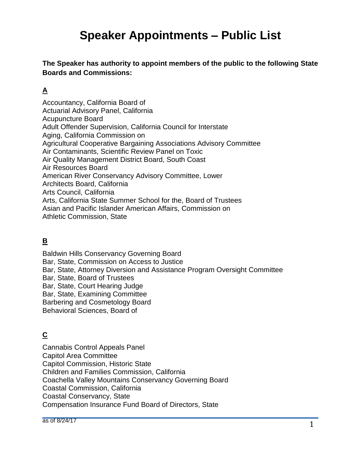**The Speaker has authority to appoint members of the public to the following State Boards and Commissions:**

## **A**

Accountancy, California Board of Actuarial Advisory Panel, California Acupuncture Board Adult Offender Supervision, California Council for Interstate Aging, California Commission on Agricultural Cooperative Bargaining Associations Advisory Committee Air Contaminants, Scientific Review Panel on Toxic Air Quality Management District Board, South Coast Air Resources Board American River Conservancy Advisory Committee, Lower Architects Board, California Arts Council, California Arts, California State Summer School for the, Board of Trustees Asian and Pacific Islander American Affairs, Commission on Athletic Commission, State

## **B**

Baldwin Hills Conservancy Governing Board Bar, State, Commission on Access to Justice Bar, State, Attorney Diversion and Assistance Program Oversight Committee Bar, State, Board of Trustees Bar, State, Court Hearing Judge Bar, State, Examining Committee Barbering and Cosmetology Board Behavioral Sciences, Board of

#### **C**

Cannabis Control Appeals Panel Capitol Area Committee Capitol Commission, Historic State Children and Families Commission, California Coachella Valley Mountains Conservancy Governing Board Coastal Commission, California Coastal Conservancy, State Compensation Insurance Fund Board of Directors, State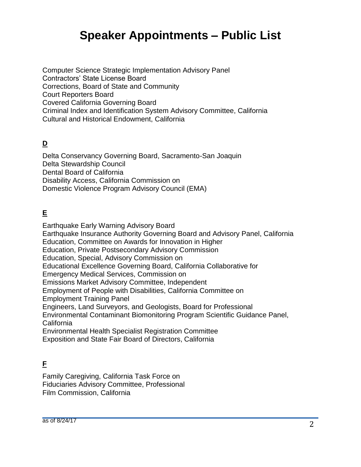Computer Science Strategic Implementation Advisory Panel Contractors' State License Board Corrections, Board of State and Community Court Reporters Board Covered California Governing Board Criminal Index and Identification System Advisory Committee, California Cultural and Historical Endowment, California

## **D**

Delta Conservancy Governing Board, Sacramento-San Joaquin Delta Stewardship Council Dental Board of California Disability Access, California Commission on Domestic Violence Program Advisory Council (EMA)

## **E**

Earthquake Early Warning Advisory Board Earthquake Insurance Authority Governing Board and Advisory Panel, California Education, Committee on Awards for Innovation in Higher Education, Private Postsecondary Advisory Commission Education, Special, Advisory Commission on Educational Excellence Governing Board, California Collaborative for Emergency Medical Services, Commission on Emissions Market Advisory Committee, Independent Employment of People with Disabilities, California Committee on Employment Training Panel Engineers, Land Surveyors, and Geologists, Board for Professional Environmental Contaminant Biomonitoring Program Scientific Guidance Panel, California Environmental Health Specialist Registration Committee Exposition and State Fair Board of Directors, California

## **F**

Family Caregiving, California Task Force on Fiduciaries Advisory Committee, Professional Film Commission, California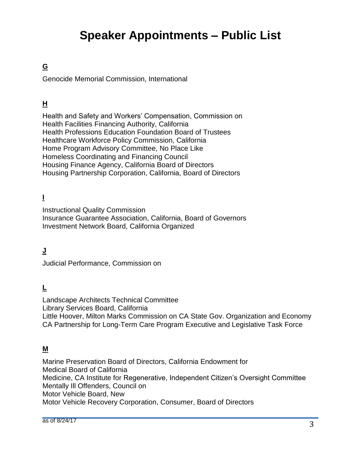## **G**

Genocide Memorial Commission, International

## **H**

Health and Safety and Workers' Compensation, Commission on Health Facilities Financing Authority, California Health Professions Education Foundation Board of Trustees Healthcare Workforce Policy Commission, California Home Program Advisory Committee, No Place Like Homeless Coordinating and Financing Council Housing Finance Agency, California Board of Directors Housing Partnership Corporation, California, Board of Directors

## **I**

Instructional Quality Commission

Insurance Guarantee Association, California, Board of Governors Investment Network Board, California Organized

## **J**

Judicial Performance, Commission on

#### **L**

Landscape Architects Technical Committee Library Services Board, California Little Hoover, Milton Marks Commission on CA State Gov. Organization and Economy CA Partnership for Long-Term Care Program Executive and Legislative Task Force

#### **M**

Marine Preservation Board of Directors, California Endowment for Medical Board of California Medicine, CA Institute for Regenerative, Independent Citizen's Oversight Committee Mentally Ill Offenders, Council on Motor Vehicle Board, New Motor Vehicle Recovery Corporation, Consumer, Board of Directors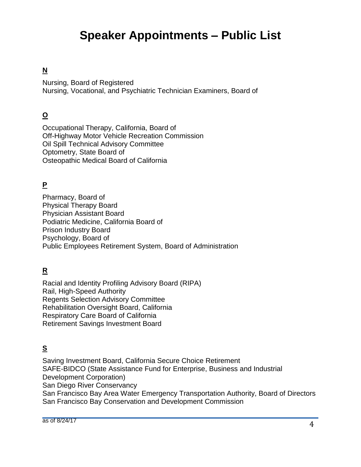## **N**

Nursing, Board of Registered Nursing, Vocational, and Psychiatric Technician Examiners, Board of

## **O**

Occupational Therapy, California, Board of Off-Highway Motor Vehicle Recreation Commission Oil Spill Technical Advisory Committee Optometry, State Board of Osteopathic Medical Board of California

## **P**

Pharmacy, Board of Physical Therapy Board Physician Assistant Board Podiatric Medicine, California Board of Prison Industry Board Psychology, Board of Public Employees Retirement System, Board of Administration

## **R**

Racial and Identity Profiling Advisory Board (RIPA) Rail, High-Speed Authority Regents Selection Advisory Committee Rehabilitation Oversight Board, California Respiratory Care Board of California Retirement Savings Investment Board

## **S**

Saving Investment Board, California Secure Choice Retirement SAFE-BIDCO (State Assistance Fund for Enterprise, Business and Industrial Development Corporation) San Diego River Conservancy San Francisco Bay Area Water Emergency Transportation Authority, Board of Directors San Francisco Bay Conservation and Development Commission